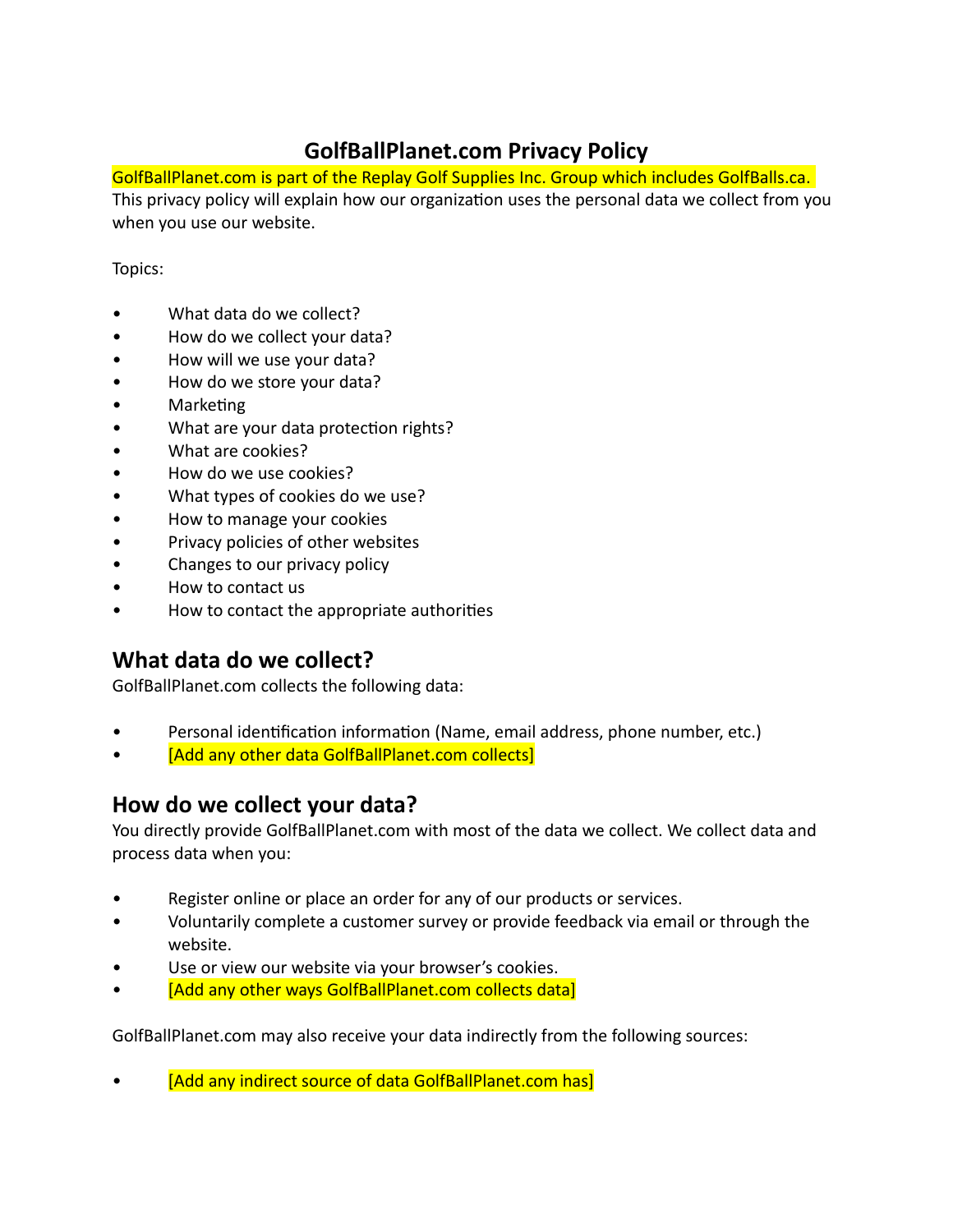# **GolfBallPlanet.com Privacy Policy**

GolfBallPlanet.com is part of the Replay Golf Supplies Inc. Group which includes GolfBalls.ca. This privacy policy will explain how our organization uses the personal data we collect from you when you use our website.

#### Topics:

- What data do we collect?
- How do we collect your data?
- How will we use your data?
- How do we store your data?
- Marketing
- What are your data protection rights?
- What are cookies?
- How do we use cookies?
- What types of cookies do we use?
- How to manage your cookies
- Privacy policies of other websites
- Changes to our privacy policy
- How to contact us
- How to contact the appropriate authorities

# **What data do we collect?**

GolfBallPlanet.com collects the following data:

- Personal identification information (Name, email address, phone number, etc.)
- **I any other data GolfBallPlanet.com collects**

## **How do we collect your data?**

You directly provide GolfBallPlanet.com with most of the data we collect. We collect data and process data when you:

- Register online or place an order for any of our products or services.
- Voluntarily complete a customer survey or provide feedback via email or through the website.
- Use or view our website via your browser's cookies.
- [Add any other ways GolfBallPlanet.com collects data]

GolfBallPlanet.com may also receive your data indirectly from the following sources:

[Add any indirect source of data GolfBallPlanet.com has]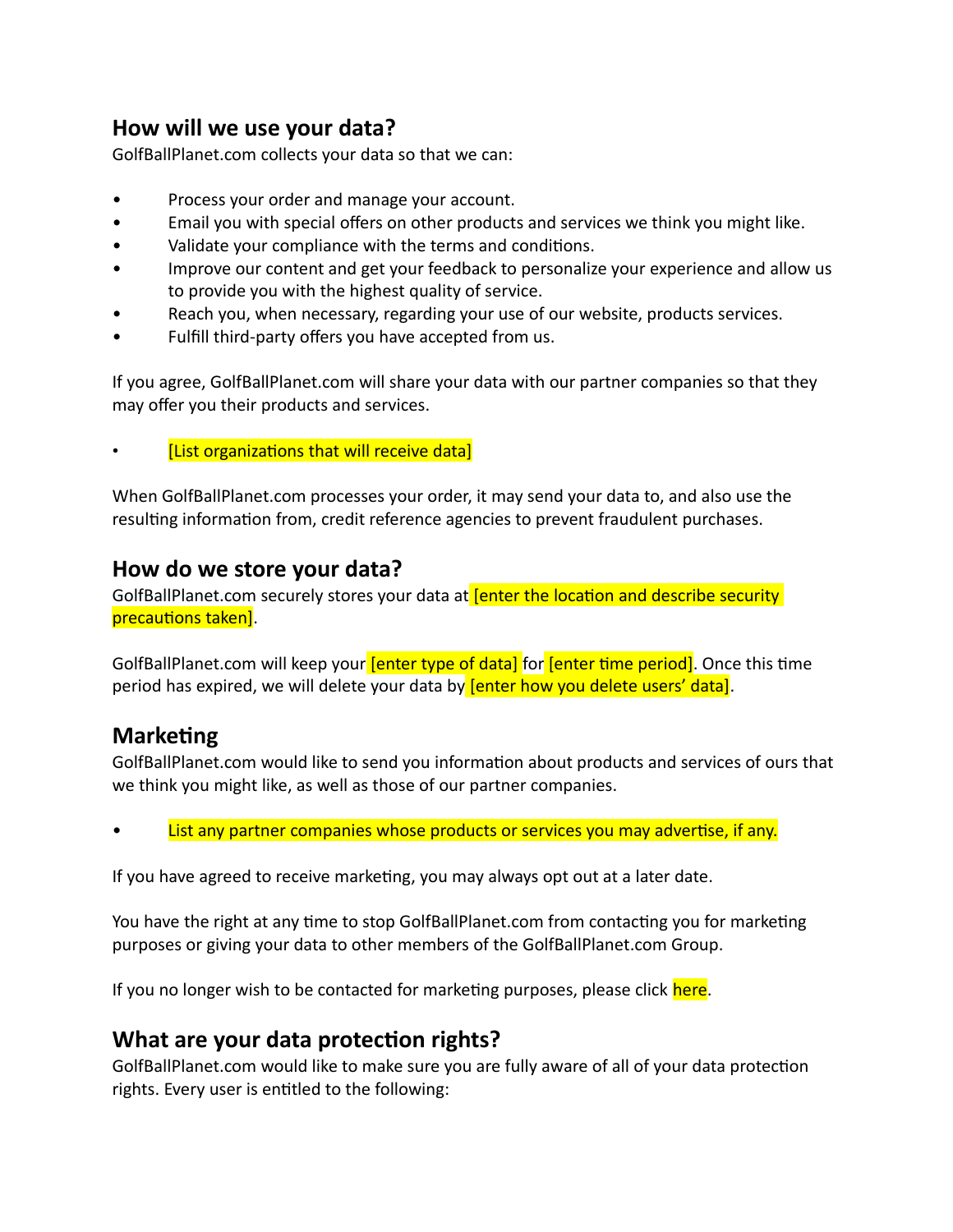## **How will we use your data?**

GolfBallPlanet.com collects your data so that we can:

- Process your order and manage your account.
- Email you with special offers on other products and services we think you might like.
- Validate your compliance with the terms and conditions.
- Improve our content and get your feedback to personalize your experience and allow us to provide you with the highest quality of service.
- Reach you, when necessary, regarding your use of our website, products services.
- Fulfill third-party offers you have accepted from us.

If you agree, GolfBallPlanet.com will share your data with our partner companies so that they may offer you their products and services.

[List organizations that will receive data]

When GolfBallPlanet.com processes your order, it may send your data to, and also use the resulting information from, credit reference agencies to prevent fraudulent purchases.

### **How do we store your data?**

GolfBallPlanet.com securely stores your data at **[enter the location and describe security** precautions taken].

GolfBallPlanet.com will keep your **[enter type of data]** for **[enter time period]**. Once this time period has expired, we will delete your data by **fenter how you delete users' data)**.

## **Marketing**

GolfBallPlanet.com would like to send you information about products and services of ours that we think you might like, as well as those of our partner companies.

List any partner companies whose products or services you may advertise, if any.

If you have agreed to receive marketing, you may always opt out at a later date.

You have the right at any time to stop GolfBallPlanet.com from contacting you for marketing purposes or giving your data to other members of the GolfBallPlanet.com Group.

If you no longer wish to be contacted for marketing purposes, please click here.

## **What are your data protection rights?**

GolfBallPlanet.com would like to make sure you are fully aware of all of your data protection rights. Every user is entitled to the following: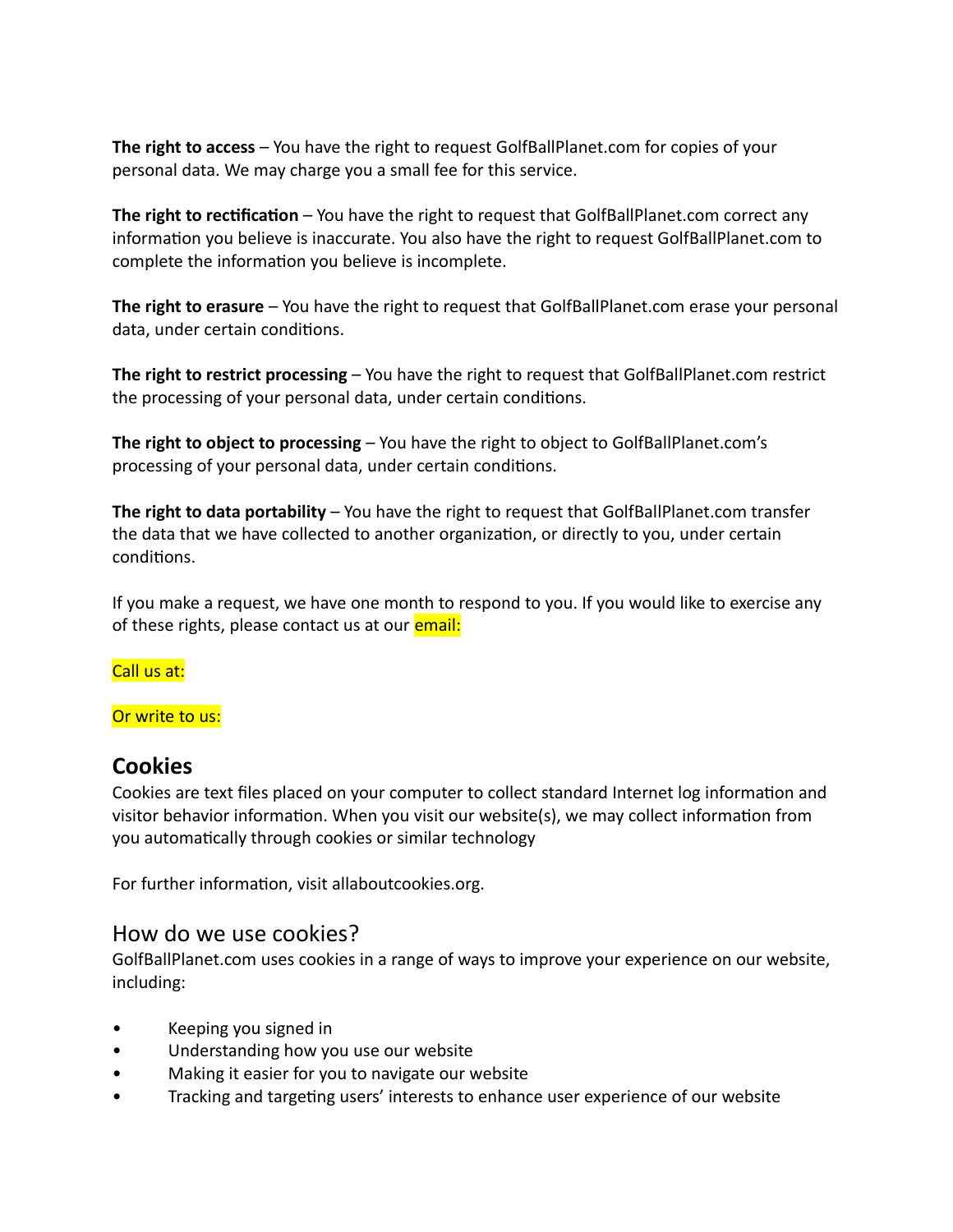**The right to access** – You have the right to request GolfBallPlanet.com for copies of your personal data. We may charge you a small fee for this service.

**The right to rectification** – You have the right to request that GolfBallPlanet.com correct any information you believe is inaccurate. You also have the right to request GolfBallPlanet.com to complete the information you believe is incomplete.

**The right to erasure** – You have the right to request that GolfBallPlanet.com erase your personal data, under certain conditions.

**The right to restrict processing** – You have the right to request that GolfBallPlanet.com restrict the processing of your personal data, under certain conditions.

**The right to object to processing** – You have the right to object to GolfBallPlanet.com's processing of your personal data, under certain conditions.

**The right to data portability** – You have the right to request that GolfBallPlanet.com transfer the data that we have collected to another organization, or directly to you, under certain conditions.

If you make a request, we have one month to respond to you. If you would like to exercise any of these rights, please contact us at our **email:** 

Call us at:

Or write to us:

## **Cookies**

Cookies are text files placed on your computer to collect standard Internet log information and visitor behavior information. When you visit our website(s), we may collect information from you automatically through cookies or similar technology

For further information, visit allaboutcookies.org.

#### How do we use cookies?

GolfBallPlanet.com uses cookies in a range of ways to improve your experience on our website, including:

- Keeping you signed in
- Understanding how you use our website
- Making it easier for you to navigate our website
- Tracking and targeting users' interests to enhance user experience of our website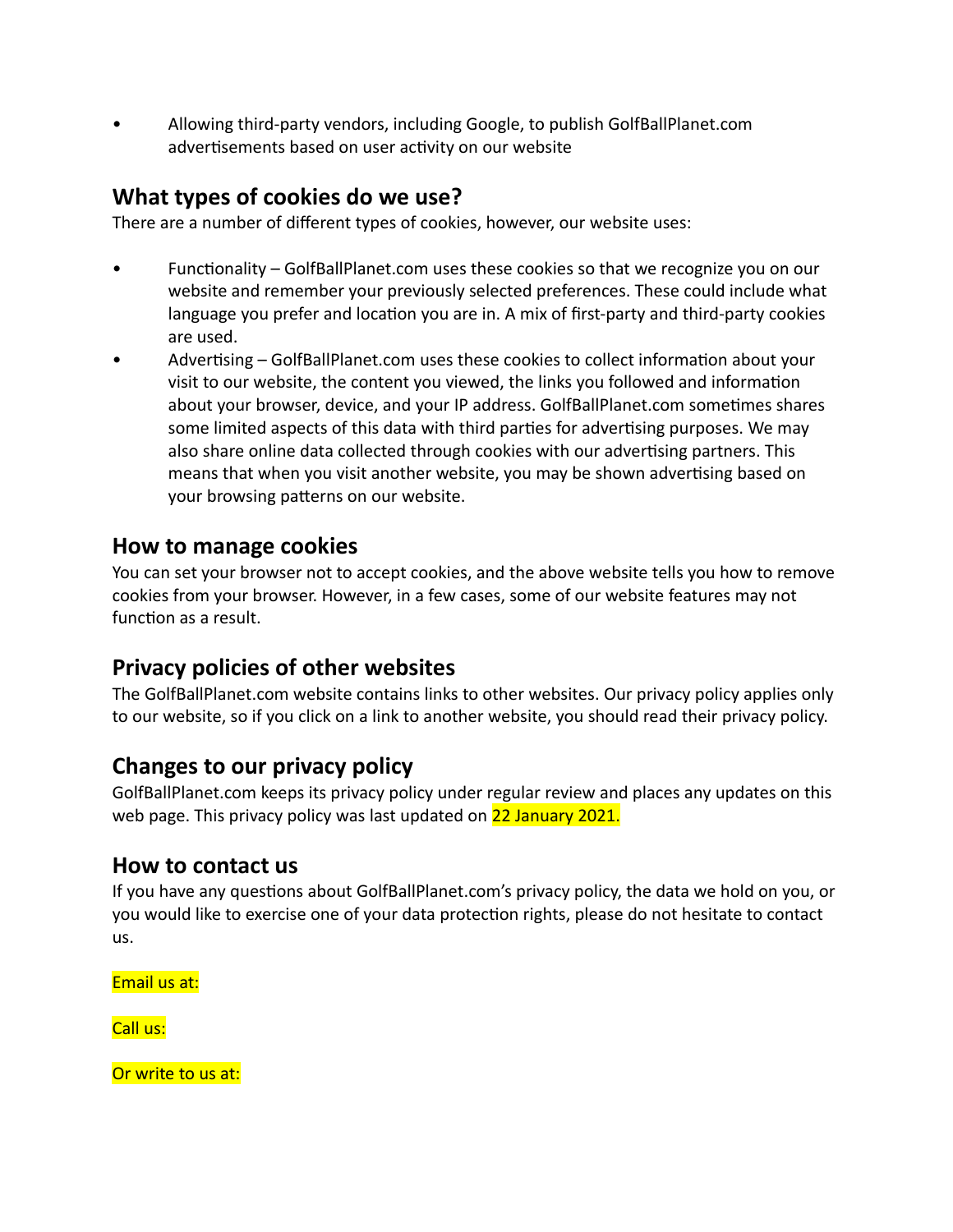• Allowing third-party vendors, including Google, to publish GolfBallPlanet.com advertisements based on user activity on our website

## **What types of cookies do we use?**

There are a number of different types of cookies, however, our website uses:

- Functionality GolfBallPlanet.com uses these cookies so that we recognize you on our website and remember your previously selected preferences. These could include what language you prefer and location you are in. A mix of first-party and third-party cookies are used.
- Advertising GolfBallPlanet.com uses these cookies to collect information about your visit to our website, the content you viewed, the links you followed and information about your browser, device, and your IP address. GolfBallPlanet.com sometimes shares some limited aspects of this data with third parties for advertising purposes. We may also share online data collected through cookies with our advertising partners. This means that when you visit another website, you may be shown advertising based on your browsing patterns on our website.

### **How to manage cookies**

You can set your browser not to accept cookies, and the above website tells you how to remove cookies from your browser. However, in a few cases, some of our website features may not function as a result.

## **Privacy policies of other websites**

The GolfBallPlanet.com website contains links to other websites. Our privacy policy applies only to our website, so if you click on a link to another website, you should read their privacy policy.

## **Changes to our privacy policy**

GolfBallPlanet.com keeps its privacy policy under regular review and places any updates on this web page. This privacy policy was last updated on 22 January 2021.

## **How to contact us**

If you have any questions about GolfBallPlanet.com's privacy policy, the data we hold on you, or you would like to exercise one of your data protection rights, please do not hesitate to contact us.

Email us at:

Call us:

Or write to us at: